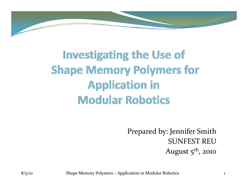

### **Investigating the Use of Shape Memory Polymers for Application in Modular Robotics**

Prepared by: Jennifer Smith SUNFEST REUAugust  $5<sup>th</sup>$ , 2010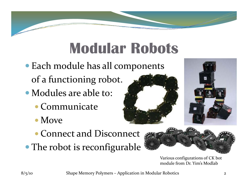## **Modular Robots**

• Each module has all components

of a functionin g robot.

- Modules are able to:
	- Communicate
	- $\bullet$  Move
	- Connect and Disconnect
- The robot is reconfigurable



Various configurations of CK bot module from Dr. Yim's Modlab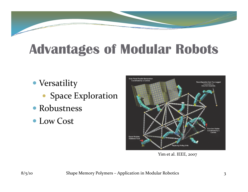### **Advantages of Modular Robots**

- Versatility
	- Space Exploration
- Robustness
- Low Cost



Yim et al. IEEE, <sup>200</sup> 7 ,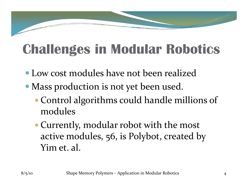### **Challenges in Modular Robotics**

- Low cost modules have not been realized
- Mass production is not yet been used.
	- y Control algorithms could handle millions of modules
	- Currently, modular robot with the most active modules, <sup>5</sup>6, is Polybot, created by Yim et. al.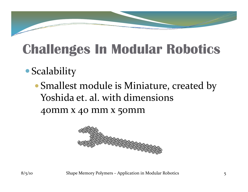## **Challenges In Modular Robotics**

### **• Scalability**

• Smallest module is Miniature, created by Yoshida et. al. with dimensions 40mm x 40 mm x 50mm

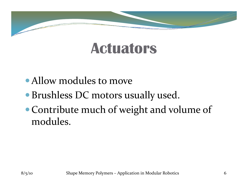### **Actuators**

- Allow modules to move
- Brushless DC motors usually used.
- $\bullet$  Contribute much of weight and volume of modules.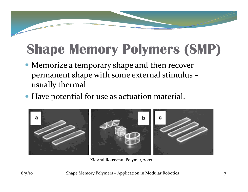## **Shape Memory Polymers (SMP)**

- Memorize a temporary shape and then recover permanen<sup>t</sup> shape with some external stimulus – usually thermal
- Have potential for use as actuation material.



Xie and Rousseau, Polymer, <sup>2007</sup>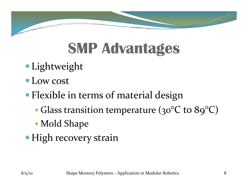

# **SMP Advantages**

- Lightweight
- Low cost

### • Flexible in terms of material design

- $\bullet$  Glass transition temperature (30 $^{\circ}$  $^{\circ}\mathsf{C}$  to  $\mathsf{8g^{\circ}C})$
- Mold Shape
- High recovery strain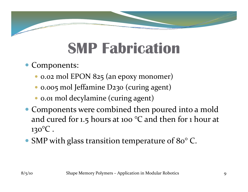# **SMP Fabrication**

- Components:
	- y 0.02 mol EPON 825 (an epoxy monomer)
	- y 0.005 mol Jeffamine D230 (curing agent)
	- 0.01 mol decylamine (curing agent)
- Components were combined then poured into a mold and cured for 1.5 hours at <sup>100</sup> °C and then for 1 hour at 1 30°C .
- SMP with glass transition temperature of 80°C.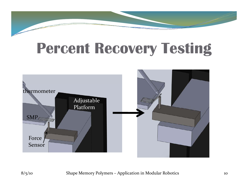# **Percent Recovery Testing**

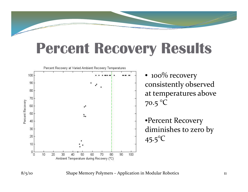### **Percent Recovery Results**

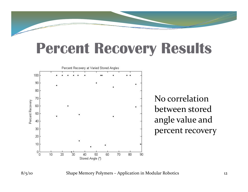### **Percent Recovery Results**



8/5/10 Shape Memory Polymers – Application in Modular Robotics <sup>12</sup>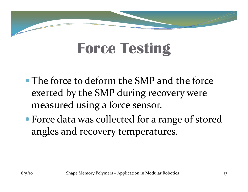# **Force Testing**

- The force to deform the SMP and the force exerted by the SMP during recovery were measured using a force sensor.
- Force data was collected for a range of stored angles and recovery temperatures.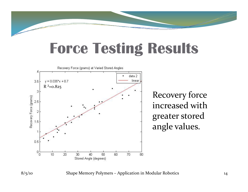### **Force Testing Results**



8/5/10 Shape Memory Polymers – Application in Modular Robotics <sup>14</sup>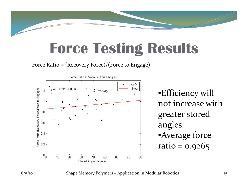

### **Force Testing Results**

Force Ratio = (Recovery Force)/(Force to Engage)



•Efficiency will not increase withgreater stored angles. •Average force ratio =0.9265



8/5/10 Shape Memory Polymers – Application in Modular Robotics 15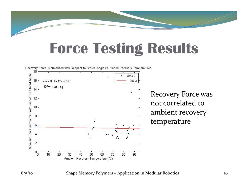### **Force Testing Results**



8/5/10 Shape Memory Polymers – Application in Modular Robotics 16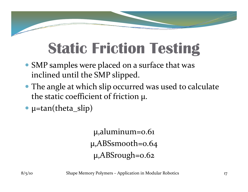# **Static Friction Testing**

- SMP samples were placed on a surface that was inclined until the SMP slipped.
- The angle at which slip occurred was used to calculate the static coefficient of friction µ.
- $\mu$ =tan(theta\_slip)

 $\mu$ ,aluminum=0.61 µ,ABSsmooth=0.64  $\mu$ ,ABSrough=0.62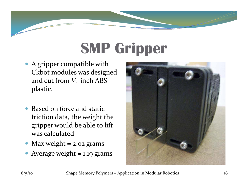# **SMP Gripper**

- A gripper compatible with Ckbot modules was designed and cut from  $\frac{1}{4}$  inch ABS plastic.
- $\bullet$  Based on force and static friction data, the weight the gripper would be able to lift was calculated
- Max weight = 2.02 grams
- $\bullet$ Avera g e wei ght = 1.1 9 grams

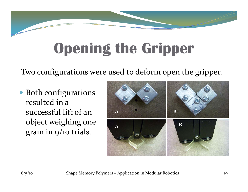# **Opening the Gripper**

Two configurations were used to deform open the gripper.

• Both configurations resulted in a successful lift of anobject weighing one gram in 9/10 trials.

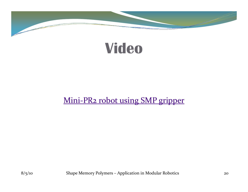



### Mini‐PR2 robot using SMP gripper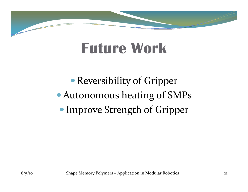### **Future Work**

• Reversibility of Gripper • Autonomous heating of SMPs • Improve Strength of Gripper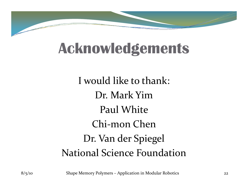

### **Acknowledgements**

I would like to thank: Dr. Mark YimPaul White Chi ‐mon ChenDr. Van der Spiegel National Science Foundation